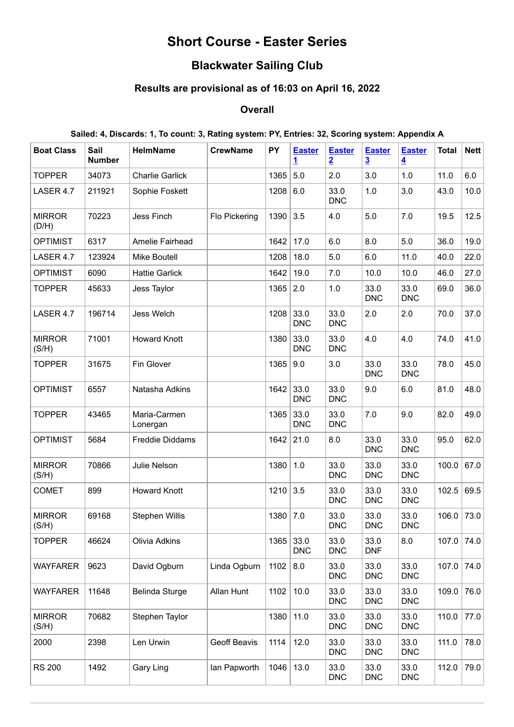# **Short Course - Easter Series**

# **Blackwater Sailing Club**

### **Results are provisional as of 16:03 on April 16, 2022**

### **Overall**

#### **Sailed: 4, Discards: 1, To count: 3, Rating system: PY, Entries: 32, Scoring system: Appendix A**

| <b>Boat Class</b>      | Sail<br><b>Number</b> | <b>HelmName</b>          | <b>CrewName</b> | PY   | <b>Easter</b><br>1 | <b>Easter</b><br>$\overline{2}$ | <b>Easter</b><br>$\overline{3}$ | <b>Easter</b><br>$\overline{\mathbf{4}}$ | <b>Total</b> | <b>Nett</b> |
|------------------------|-----------------------|--------------------------|-----------------|------|--------------------|---------------------------------|---------------------------------|------------------------------------------|--------------|-------------|
| <b>TOPPER</b>          | 34073                 | <b>Charlie Garlick</b>   |                 | 1365 | 5.0                | 2.0                             | 3.0                             | 1.0                                      | 11.0         | 6.0         |
| LASER 4.7              | 211921                | Sophie Foskett           |                 | 1208 | 6.0                | 33.0<br><b>DNC</b>              | 1.0                             | 3.0                                      | 43.0         | 10.0        |
| <b>MIRROR</b><br>(D/H) | 70223                 | Jess Finch               | Flo Pickering   | 1390 | 3.5                | 4.0                             | 5.0                             | 7.0                                      | 19.5         | 12.5        |
| <b>OPTIMIST</b>        | 6317                  | Amelie Fairhead          |                 | 1642 | 17.0               | 6.0                             | 8.0                             | 5.0                                      | 36.0         | 19.0        |
| LASER 4.7              | 123924                | <b>Mike Boutell</b>      |                 | 1208 | 18.0               | 5.0                             | 6.0                             | 11.0                                     | 40.0         | 22.0        |
| <b>OPTIMIST</b>        | 6090                  | <b>Hattie Garlick</b>    |                 | 1642 | 19.0               | 7.0                             | 10.0                            | 10.0                                     | 46.0         | 27.0        |
| <b>TOPPER</b>          | 45633                 | Jess Taylor              |                 | 1365 | 2.0                | 1.0                             | 33.0<br><b>DNC</b>              | 33.0<br><b>DNC</b>                       | 69.0         | 36.0        |
| LASER 4.7              | 196714                | <b>Jess Welch</b>        |                 | 1208 | 33.0<br><b>DNC</b> | 33.0<br><b>DNC</b>              | 2.0                             | 2.0                                      | 70.0         | 37.0        |
| <b>MIRROR</b><br>(S/H) | 71001                 | <b>Howard Knott</b>      |                 | 1380 | 33.0<br><b>DNC</b> | 33.0<br><b>DNC</b>              | 4.0                             | 4.0                                      | 74.0         | 41.0        |
| <b>TOPPER</b>          | 31675                 | Fin Glover               |                 | 1365 | 9.0                | 3.0                             | 33.0<br><b>DNC</b>              | 33.0<br><b>DNC</b>                       | 78.0         | 45.0        |
| <b>OPTIMIST</b>        | 6557                  | Natasha Adkins           |                 | 1642 | 33.0<br><b>DNC</b> | 33.0<br><b>DNC</b>              | 9.0                             | 6.0                                      | 81.0         | 48.0        |
| <b>TOPPER</b>          | 43465                 | Maria-Carmen<br>Lonergan |                 | 1365 | 33.0<br><b>DNC</b> | 33.0<br><b>DNC</b>              | 7.0                             | 9.0                                      | 82.0         | 49.0        |
| <b>OPTIMIST</b>        | 5684                  | Freddie Diddams          |                 | 1642 | 21.0               | 8.0                             | 33.0<br><b>DNC</b>              | 33.0<br><b>DNC</b>                       | 95.0         | 62.0        |
| <b>MIRROR</b><br>(S/H) | 70866                 | Julie Nelson             |                 | 1380 | 1.0                | 33.0<br><b>DNC</b>              | 33.0<br><b>DNC</b>              | 33.0<br><b>DNC</b>                       | 100.0        | 67.0        |
| <b>COMET</b>           | 899                   | <b>Howard Knott</b>      |                 | 1210 | 3.5                | 33.0<br><b>DNC</b>              | 33.0<br><b>DNC</b>              | 33.0<br><b>DNC</b>                       | 102.5        | 69.5        |
| <b>MIRROR</b><br>(S/H) | 69168                 | <b>Stephen Willis</b>    |                 | 1380 | 7.0                | 33.0<br><b>DNC</b>              | 33.0<br><b>DNC</b>              | 33.0<br><b>DNC</b>                       | 106.0        | 73.0        |
| <b>TOPPER</b>          | 46624                 | Olivia Adkins            |                 | 1365 | 33.0<br><b>DNC</b> | 33.0<br><b>DNC</b>              | 33.0<br><b>DNF</b>              | 8.0                                      | 107.0        | 74.0        |
| <b>WAYFARER</b>        | 9623                  | David Ogburn             | Linda Ogburn    | 1102 | 8.0                | 33.0<br><b>DNC</b>              | 33.0<br><b>DNC</b>              | 33.0<br><b>DNC</b>                       | 107.0        | 74.0        |
| <b>WAYFARER</b>        | 11648                 | <b>Belinda Sturge</b>    | Allan Hunt      | 1102 | 10.0               | 33.0<br><b>DNC</b>              | 33.0<br><b>DNC</b>              | 33.0<br><b>DNC</b>                       | 109.0        | 76.0        |
| <b>MIRROR</b><br>(S/H) | 70682                 | Stephen Taylor           |                 | 1380 | 11.0               | 33.0<br><b>DNC</b>              | 33.0<br><b>DNC</b>              | 33.0<br><b>DNC</b>                       | 110.0        | 77.0        |
| 2000                   | 2398                  | Len Urwin                | Geoff Beavis    | 1114 | 12.0               | 33.0<br><b>DNC</b>              | 33.0<br><b>DNC</b>              | 33.0<br><b>DNC</b>                       | 111.0        | 78.0        |
| <b>RS 200</b>          | 1492                  | Gary Ling                | lan Papworth    | 1046 | 13.0               | 33.0<br><b>DNC</b>              | 33.0<br><b>DNC</b>              | 33.0<br><b>DNC</b>                       | 112.0        | 79.0        |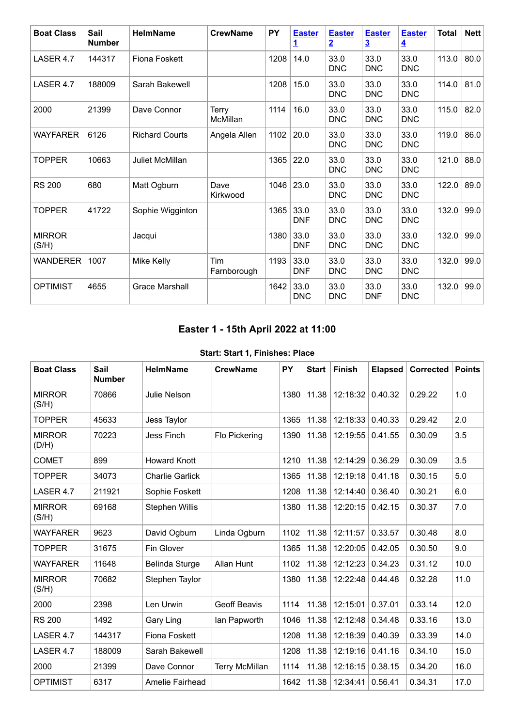| <b>Boat Class</b>      | Sail<br><b>Number</b> | <b>HelmName</b>       | <b>CrewName</b>           | <b>PY</b> | <b>Easter</b><br>1. | <b>Easter</b><br>$\overline{2}$ | <b>Easter</b><br>$\overline{3}$ | <b>Easter</b><br>$\overline{4}$ | <b>Total</b> | Net  |
|------------------------|-----------------------|-----------------------|---------------------------|-----------|---------------------|---------------------------------|---------------------------------|---------------------------------|--------------|------|
| LASER 4.7              | 144317                | <b>Fiona Foskett</b>  |                           | 1208      | 14.0                | 33.0<br><b>DNC</b>              | 33.0<br><b>DNC</b>              | 33.0<br><b>DNC</b>              | 113.0        | 80.0 |
| LASER 4.7              | 188009                | Sarah Bakewell        |                           | 1208      | 15.0                | 33.0<br><b>DNC</b>              | 33.0<br><b>DNC</b>              | 33.0<br><b>DNC</b>              | 114.0        | 81.0 |
| 2000                   | 21399                 | Dave Connor           | Terry<br>McMillan         | 1114      | 16.0                | 33.0<br><b>DNC</b>              | 33.0<br><b>DNC</b>              | 33.0<br><b>DNC</b>              | 115.0        | 82.0 |
| <b>WAYFARER</b>        | 6126                  | <b>Richard Courts</b> | Angela Allen              | 1102      | 20.0                | 33.0<br><b>DNC</b>              | 33.0<br><b>DNC</b>              | 33.0<br><b>DNC</b>              | 119.0        | 86.0 |
| <b>TOPPER</b>          | 10663                 | Juliet McMillan       |                           | 1365      | 22.0                | 33.0<br><b>DNC</b>              | 33.0<br><b>DNC</b>              | 33.0<br><b>DNC</b>              | 121.0        | 88.0 |
| <b>RS 200</b>          | 680                   | Matt Ogburn           | Dave<br>Kirkwood          | 1046      | 23.0                | 33.0<br><b>DNC</b>              | 33.0<br><b>DNC</b>              | 33.0<br><b>DNC</b>              | 122.0        | 89.0 |
| <b>TOPPER</b>          | 41722                 | Sophie Wigginton      |                           | 1365      | 33.0<br><b>DNF</b>  | 33.0<br><b>DNC</b>              | 33.0<br><b>DNC</b>              | 33.0<br><b>DNC</b>              | 132.0        | 99.0 |
| <b>MIRROR</b><br>(S/H) |                       | Jacqui                |                           | 1380      | 33.0<br><b>DNF</b>  | 33.0<br><b>DNC</b>              | 33.0<br><b>DNC</b>              | 33.0<br><b>DNC</b>              | 132.0        | 99.0 |
| <b>WANDERER</b>        | 1007                  | Mike Kelly            | <b>Tim</b><br>Farnborough | 1193      | 33.0<br><b>DNF</b>  | 33.0<br><b>DNC</b>              | 33.0<br><b>DNC</b>              | 33.0<br><b>DNC</b>              | 132.0        | 99.0 |
| <b>OPTIMIST</b>        | 4655                  | <b>Grace Marshall</b> |                           | 1642      | 33.0<br><b>DNC</b>  | 33.0<br><b>DNC</b>              | 33.0<br><b>DNF</b>              | 33.0<br><b>DNC</b>              | 132.0        | 99.0 |

## **Easter 1 - 15th April 2022 at 11:00**

#### **Start: Start 1, Finishes: Place**

<span id="page-1-0"></span>

| <b>Boat Class</b>      | Sail<br><b>Number</b> | <b>HelmName</b>        | <b>CrewName</b>       | PY   | <b>Start</b> | <b>Finish</b> | <b>Elapsed</b> | Corrected | <b>Points</b> |
|------------------------|-----------------------|------------------------|-----------------------|------|--------------|---------------|----------------|-----------|---------------|
| <b>MIRROR</b><br>(S/H) | 70866                 | <b>Julie Nelson</b>    |                       | 1380 | 11.38        | 12:18:32      | 0.40.32        | 0.29.22   | 1.0           |
| <b>TOPPER</b>          | 45633                 | Jess Taylor            |                       | 1365 | 11.38        | 12:18:33      | 0.40.33        | 0.29.42   | 2.0           |
| <b>MIRROR</b><br>(D/H) | 70223                 | <b>Jess Finch</b>      | Flo Pickering         | 1390 | 11.38        | 12:19:55      | 0.41.55        | 0.30.09   | 3.5           |
| <b>COMET</b>           | 899                   | <b>Howard Knott</b>    |                       | 1210 | 11.38        | 12:14:29      | 0.36.29        | 0.30.09   | 3.5           |
| <b>TOPPER</b>          | 34073                 | <b>Charlie Garlick</b> |                       | 1365 | 11.38        | 12:19:18      | 0.41.18        | 0.30.15   | 5.0           |
| LASER 4.7              | 211921                | Sophie Foskett         |                       | 1208 | 11.38        | 12:14:40      | 0.36.40        | 0.30.21   | 6.0           |
| <b>MIRROR</b><br>(S/H) | 69168                 | <b>Stephen Willis</b>  |                       | 1380 | 11.38        | 12:20:15      | 0.42.15        | 0.30.37   | 7.0           |
| <b>WAYFARER</b>        | 9623                  | David Ogburn           | Linda Ogburn          | 1102 | 11.38        | 12:11:57      | 0.33.57        | 0.30.48   | 8.0           |
| <b>TOPPER</b>          | 31675                 | Fin Glover             |                       | 1365 | 11.38        | 12:20:05      | 0.42.05        | 0.30.50   | 9.0           |
| <b>WAYFARER</b>        | 11648                 | Belinda Sturge         | Allan Hunt            | 1102 | 11.38        | 12:12:23      | 0.34.23        | 0.31.12   | 10.0          |
| <b>MIRROR</b><br>(S/H) | 70682                 | Stephen Taylor         |                       | 1380 | 11.38        | 12:22:48      | 0.44.48        | 0.32.28   | 11.0          |
| 2000                   | 2398                  | Len Urwin              | <b>Geoff Beavis</b>   | 1114 | 11.38        | 12:15:01      | 0.37.01        | 0.33.14   | 12.0          |
| <b>RS 200</b>          | 1492                  | Gary Ling              | lan Papworth          | 1046 | 11.38        | 12:12:48      | 0.34.48        | 0.33.16   | 13.0          |
| LASER 4.7              | 144317                | <b>Fiona Foskett</b>   |                       | 1208 | 11.38        | 12:18:39      | 0.40.39        | 0.33.39   | 14.0          |
| LASER 4.7              | 188009                | Sarah Bakewell         |                       | 1208 | 11.38        | 12:19:16      | 0.41.16        | 0.34.10   | 15.0          |
| 2000                   | 21399                 | Dave Connor            | <b>Terry McMillan</b> | 1114 | 11.38        | 12:16:15      | 0.38.15        | 0.34.20   | 16.0          |
| <b>OPTIMIST</b>        | 6317                  | Amelie Fairhead        |                       | 1642 | 11.38        | 12:34:41      | 0.56.41        | 0.34.31   | 17.0          |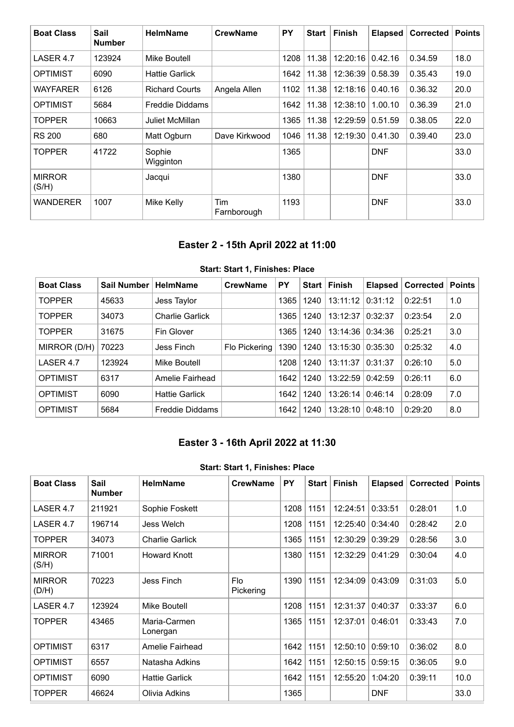| <b>Boat Class</b>      | Sail<br><b>Number</b> | <b>HelmName</b>        | <b>CrewName</b>    | PY   | <b>Start</b> | <b>Finish</b> | <b>Elapsed</b> | <b>Corrected</b> | <b>Points</b> |
|------------------------|-----------------------|------------------------|--------------------|------|--------------|---------------|----------------|------------------|---------------|
| LASER 4.7              | 123924                | Mike Boutell           |                    | 1208 | 11.38        | 12:20:16      | 0.42.16        | 0.34.59          | 18.0          |
| <b>OPTIMIST</b>        | 6090                  | <b>Hattie Garlick</b>  |                    | 1642 | 11.38        | 12:36:39      | 0.58.39        | 0.35.43          | 19.0          |
| <b>WAYFARER</b>        | 6126                  | <b>Richard Courts</b>  | Angela Allen       | 1102 | 11.38        | 12:18:16      | 0.40.16        | 0.36.32          | 20.0          |
| <b>OPTIMIST</b>        | 5684                  | <b>Freddie Diddams</b> |                    | 1642 | 11.38        | 12:38:10      | 1.00.10        | 0.36.39          | 21.0          |
| <b>TOPPER</b>          | 10663                 | <b>Juliet McMillan</b> |                    | 1365 | 11.38        | 12:29:59      | 0.51.59        | 0.38.05          | 22.0          |
| <b>RS 200</b>          | 680                   | Matt Ogburn            | Dave Kirkwood      | 1046 | 11.38        | 12:19:30      | 0.41.30        | 0.39.40          | 23.0          |
| <b>TOPPER</b>          | 41722                 | Sophie<br>Wigginton    |                    | 1365 |              |               | <b>DNF</b>     |                  | 33.0          |
| <b>MIRROR</b><br>(S/H) |                       | Jacqui                 |                    | 1380 |              |               | <b>DNF</b>     |                  | 33.0          |
| <b>WANDERER</b>        | 1007                  | Mike Kelly             | Tim<br>Farnborough | 1193 |              |               | <b>DNF</b>     |                  | 33.0          |

## **Easter 2 - 15th April 2022 at 11:00**

<span id="page-2-0"></span>

| <b>Boat Class</b> | <b>Sail Number</b> | <b>HelmName</b>        | <b>CrewName</b> | PY   | <b>Start</b> | <b>Finish</b> | <b>Elapsed</b> | <b>Corrected</b> | <b>Points</b> |
|-------------------|--------------------|------------------------|-----------------|------|--------------|---------------|----------------|------------------|---------------|
| <b>TOPPER</b>     | 45633              | Jess Taylor            |                 | 1365 | 1240         | 13:11:12      | 0:31:12        | 0:22:51          | 1.0           |
| <b>TOPPER</b>     | 34073              | Charlie Garlick        |                 | 1365 | 1240         | 13:12:37      | 0:32:37        | 0:23:54          | 2.0           |
| <b>TOPPER</b>     | 31675              | Fin Glover             |                 | 1365 | 1240         | 13:14:36      | 0:34:36        | 0:25:21          | 3.0           |
| MIRROR (D/H)      | 70223              | Jess Finch             | Flo Pickering   | 1390 | 1240         | 13:15:30      | 0:35:30        | 0:25:32          | 4.0           |
| LASER 4.7         | 123924             | Mike Boutell           |                 | 1208 | 1240         | 13:11:37      | 0:31:37        | 0:26:10          | 5.0           |
| <b>OPTIMIST</b>   | 6317               | Amelie Fairhead        |                 | 1642 | 1240         | 13:22:59      | 0:42:59        | 0:26:11          | 6.0           |
| <b>OPTIMIST</b>   | 6090               | <b>Hattie Garlick</b>  |                 | 1642 | 1240         | 13:26:14      | 0:46:14        | 0:28:09          | 7.0           |
| <b>OPTIMIST</b>   | 5684               | <b>Freddie Diddams</b> |                 | 1642 | 1240         | 13:28:10      | 0:48:10        | 0:29:20          | 8.0           |

#### **Start: Start 1, Finishes: Place**

## **Easter 3 - 16th April 2022 at 11:30**

#### **Start: Start 1, Finishes: Place**

<span id="page-2-1"></span>

| <b>Boat Class</b>      | <b>Sail</b><br><b>Number</b> | <b>HelmName</b>          | <b>CrewName</b>         | PY   | Start | <b>Finish</b> | <b>Elapsed</b> | <b>Corrected</b> | <b>Points</b> |
|------------------------|------------------------------|--------------------------|-------------------------|------|-------|---------------|----------------|------------------|---------------|
| LASER 4.7              | 211921                       | Sophie Foskett           |                         | 1208 | 1151  | 12:24:51      | 0:33:51        | 0:28:01          | 1.0           |
| LASER 4.7              | 196714                       | Jess Welch               |                         | 1208 | 1151  | 12:25:40      | 0:34:40        | 0:28:42          | 2.0           |
| <b>TOPPER</b>          | 34073                        | <b>Charlie Garlick</b>   |                         | 1365 | 1151  | 12:30:29      | 0:39:29        | 0:28:56          | 3.0           |
| <b>MIRROR</b><br>(S/H) | 71001                        | <b>Howard Knott</b>      |                         | 1380 | 1151  | 12:32:29      | 0:41:29        | 0:30:04          | 4.0           |
| <b>MIRROR</b><br>(D/H) | 70223                        | Jess Finch               | <b>Flo</b><br>Pickering | 1390 | 1151  | 12:34:09      | 0:43:09        | 0:31:03          | 5.0           |
| LASER 4.7              | 123924                       | Mike Boutell             |                         | 1208 | 1151  | 12:31:37      | 0:40:37        | 0:33:37          | 6.0           |
| <b>TOPPER</b>          | 43465                        | Maria-Carmen<br>Lonergan |                         | 1365 | 1151  | 12:37:01      | 0:46:01        | 0:33:43          | 7.0           |
| <b>OPTIMIST</b>        | 6317                         | Amelie Fairhead          |                         | 1642 | 1151  | 12:50:10      | 0:59:10        | 0:36:02          | 8.0           |
| <b>OPTIMIST</b>        | 6557                         | Natasha Adkins           |                         | 1642 | 1151  | 12:50:15      | 0:59:15        | 0:36:05          | 9.0           |
| <b>OPTIMIST</b>        | 6090                         | <b>Hattie Garlick</b>    |                         | 1642 | 1151  | 12:55:20      | 1:04:20        | 0:39:11          | 10.0          |
| <b>TOPPER</b>          | 46624                        | Olivia Adkins            |                         | 1365 |       |               | <b>DNF</b>     |                  | 33.0          |